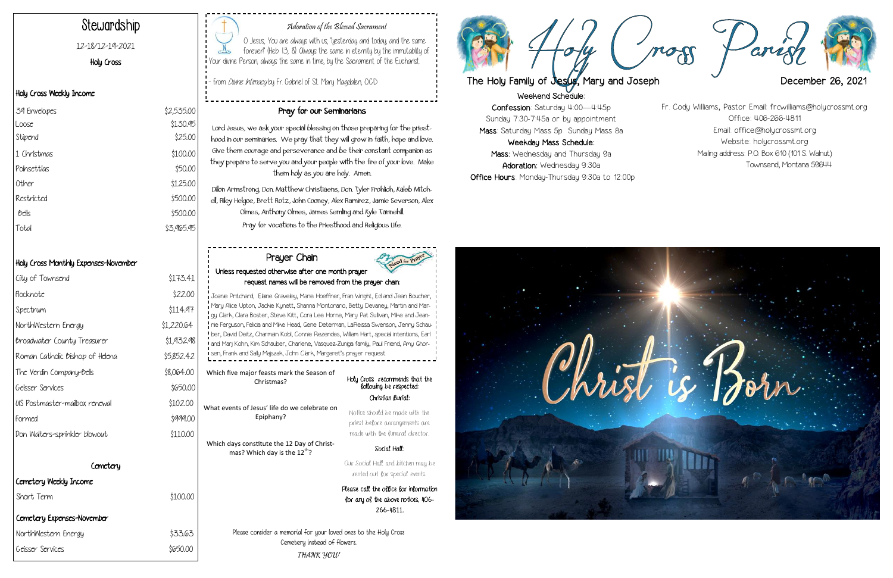Weekend Schedule:

Confession: Saturday 4:00—4:45p Sunday 7:30-7:45a or by appointment Mass: Saturday Mass 5p Sunday Mass 8a Weekday Mass Schedule: Mass: Wednesday and Thursday 9a Adoration: Wednesday 9:30a Office Hours: Monday-Thursday 9:30a to 12:00p



## Adoration of the Blessed Sacrament

O Jesus, You are always with us, "yesterday and today, and the same forever!" (Heb 13, 8). Always the same in eternity by the immutablity of Your divine Person; always the same in time, by the Sacrament of the Eucharist.

- from *Divine Intimacy* by Fr. Gabriel of St. Mary Magdalen, O.C.D

## Stewardship

12-18/12-19-2021

## Holy Cross

## Holy Cross Weekly Income

| 39 Envelopes | \$2,535.00 |
|--------------|------------|
| Loose        | \$130.95   |
| Stipend      | \$25.00    |
| 1 Christmas  | \$100.00   |
| Poinsettias  | \$50.00    |
| Other        | \$125.00   |
| Restricted   | \$500.00   |
| bells        | \$500.00   |
| Total        | \$3,965.95 |

## Holy Cross Monthly Expenses-November

Holy Cross recommends that the following be respected: Notice should be made with the priest before arrangements are made with the funeral director. Our Social Hall and kitchen may be Which five major feasts mark the Season of Christmas? What events of Jesus' life do we celebrate on Epiphany? Which days constitute the 12 Day of Christmas? Which day is the  $12^{th}$ ?

## Pray for our Seminarians

Lord Jesus, we ask your special blessing on those preparing for the priesthood in our seminaries. We pray that they will grow in faith, hope and love. Give them courage and perseverance and be their constant companion as they prepare to serve you and your people with the fire of your love. Make them holy as you are holy. Amen.

Joanie Pritchard, Elaine Graveley, Marie Hoeffner, Fran Wright, Ed and Jean Boucher, Mary Alice Upton, Jackie Kynett, Shanna Montonario, Betty Devaney, Martin and Margy Clark, Clara Boster, Steve Kitt, Cora Lee Horne, Mary Pat Sullivan, Mike and Jeannie Ferguson, Felicia and Mike Head, Gene Determan, LaReissa Swenson, Jenny Schauber, David Deitz, Charmain Kobl, Connie Rezendes, William Hart, special intentions, Earl and Marj Kohn, Kim Schauber, Charlene, Vasquez-Zuniga family, Paul Friend, Amy Ghor-**:**<br>I sen, Frank and Sally Majszak, John Clark, Margaret's prayer request

Dillon Armstrong, Dcn. Matthew Christiaens, Dcn. Tyler Frohlich, Kaleb Mitchell, Riley Helgoe, Brett Rotz, John Cooney, Alex Ramirez, Jamie Severson, Alex Olmes, Anthony Olmes, James Semling and Kyle Tannehill. Pray for vocations to the Priesthood and Religious Life.

Please consider a memorial for your loved ones to the Holy Cross Cemetery instead of flowers.

**THANK YOU!**

Christian Burial:

| City of Townsend                | \$173.41   |
|---------------------------------|------------|
| Flocknote                       | \$22.00    |
| Spectrum                        | \$114.97   |
| NorthWestern Energy             | \$1,220.64 |
| Broadwater County Treasurer     | \$1,932.98 |
| Roman Catholic Bishop of Helena | \$5,852.42 |
| The Verdin Company-Bells        | \$8,064.00 |
| Geisser Services                | \$650.00   |
| US Postmaster-mailbox renewal   | \$102.00   |
| Formed                          | \$999.00   |
| Don Walters-sprinkler blowout   | \$110.00   |
| Comotory                        |            |
| Cemetery Weekly Income          |            |
| Short Term                      | \$100.00   |
| Cemetery Expenses-November      |            |
| NorthWestern Energy             | \$33.63    |
| Geisser Services                | \$650.00   |

Social Hall:

rented out for special events. Please call the office for information for any of the above notices, 406-

266-4811.

## Prayer Chain Unless requested otherwise after one month prayer request names will be removed from the prayer chain:

Fr. Cody Williams, Pastor Email: frcwilliams@holycrossmt.org Office: 406-266-4811 Email: office@holycrossmt.org Website: holycrossmt.org Mailing address: P.O. Box 610 (101 S. Walnut) Townsend, Montana 59644